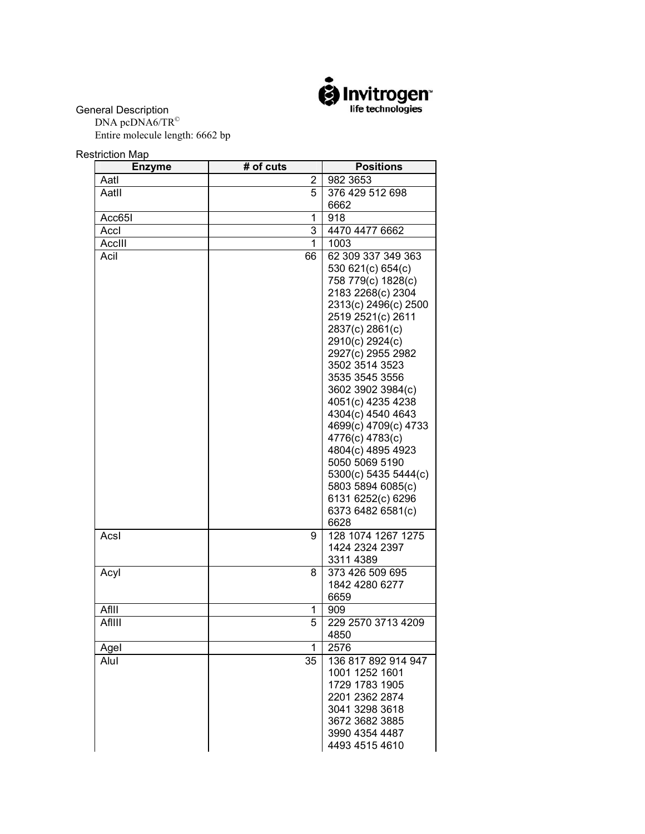

General Description

DNA pcDNA6/TR<sup>©</sup> Entire molecule length: 6662 bp

Restriction Map

| <b>Enzyme</b> | # of cuts      | <b>Positions</b>                          |
|---------------|----------------|-------------------------------------------|
| Aatl          | $\overline{2}$ | 982 3653                                  |
| Aatll         | 5              | 376 429 512 698                           |
|               |                | 6662                                      |
| Acc65I        | 1              | 918                                       |
| Accl          | 3              | 4470 4477 6662                            |
| AccIII        | 1              | 1003                                      |
| Acil          | 66             | 62 309 337 349 363                        |
|               |                | 530 621(c) 654(c)                         |
|               |                | 758 779(c) 1828(c)                        |
|               |                | 2183 2268(c) 2304<br>2313(c) 2496(c) 2500 |
|               |                | 2519 2521(c) 2611                         |
|               |                | 2837(c) 2861(c)                           |
|               |                | 2910(c) 2924(c)                           |
|               |                | 2927(c) 2955 2982                         |
|               |                | 3502 3514 3523                            |
|               |                | 3535 3545 3556                            |
|               |                | 3602 3902 3984(c)                         |
|               |                | 4051(c) 4235 4238                         |
|               |                | 4304(c) 4540 4643<br>4699(c) 4709(c) 4733 |
|               |                | 4776(c) 4783(c)                           |
|               |                | 4804(c) 4895 4923                         |
|               |                | 5050 5069 5190                            |
|               |                | 5300(c) 5435 5444(c)                      |
|               |                | 5803 5894 6085(c)                         |
|               |                | 6131 6252(c) 6296                         |
|               |                | 6373 6482 6581(c)                         |
|               |                | 6628                                      |
| Acsl          | 9              | 128 1074 1267 1275                        |
|               |                | 1424 2324 2397                            |
| Acyl          | 8              | 3311 4389<br>373 426 509 695              |
|               |                | 1842 4280 6277                            |
|               |                | 6659                                      |
| AfIII         | 1              | 909                                       |
| AfIIII        | 5              | 229 2570 3713 4209                        |
|               |                | 4850                                      |
| Agel          | 1              | 2576                                      |
| Alul          | 35             | 136 817 892 914 947                       |
|               |                | 1001 1252 1601                            |
|               |                | 1729 1783 1905                            |
|               |                | 2201 2362 2874                            |
|               |                | 3041 3298 3618                            |
|               |                | 3672 3682 3885<br>3990 4354 4487          |
|               |                | 4493 4515 4610                            |
|               |                |                                           |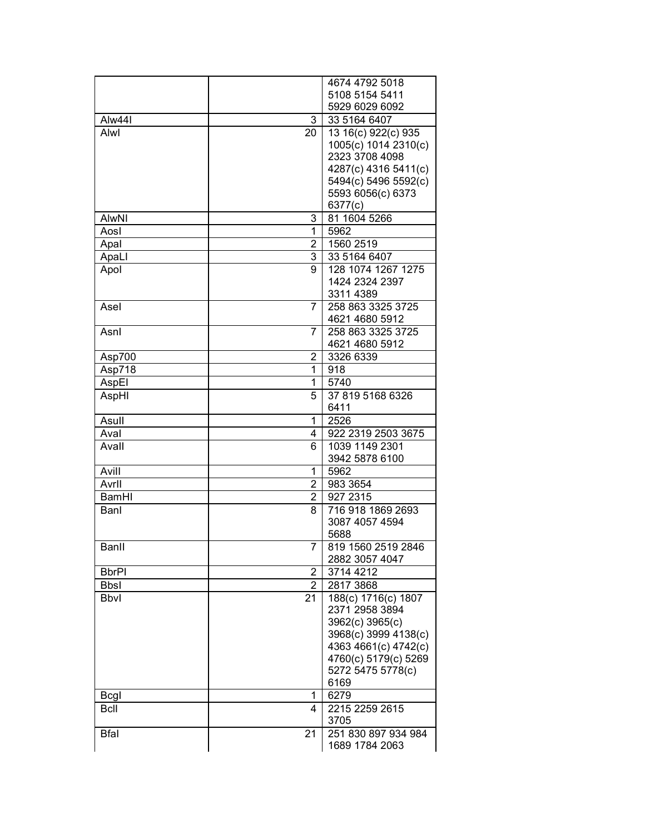| 5108 5154 5411<br>5929 6029 6092<br>Alw44I<br>3<br>33 5164 6407<br>Alwl<br>13 16(c) 922(c) 935<br>20<br>1005(c) 1014 2310(c)<br>2323 3708 4098<br>4287(c) 4316 5411(c)<br>5494(c) 5496 5592(c)<br>5593 6056(c) 6373<br>6377(c)<br>81 1604 5266<br><b>AlwNI</b><br>3<br>5962<br>1<br>Aosl<br>$\overline{2}$<br>1560 2519<br>Apal<br>3<br>33 5164 6407<br>ApaLI<br>9<br>128 1074 1267 1275<br>Apol<br>1424 2324 2397<br>3311 4389<br>258 863 3325 3725<br>$\overline{7}$<br>Asel<br>4621 4680 5912<br>258 863 3325 3725<br>Asnl<br>7<br>4621 4680 5912<br>3326 6339<br>2<br>Asp700<br>1<br>918<br>Asp718<br>AspEl<br>1<br>5740<br>37 819 5168 6326<br>AspHI<br>5<br>6411<br>2526<br>1<br>Asull<br>Aval<br>922 2319 2503 3675<br>4<br>1039 1149 2301<br>Avall<br>6<br>3942 5878 6100<br>5962<br>Avill<br>1<br>983 3654<br>Avrll<br>$\overline{2}$<br>927 2315<br><b>BamHI</b><br>$\overline{2}$<br>8<br>716 918 1869 2693<br>Banl<br>3087 4057 4594<br>5688<br>$\overline{7}$<br>819 1560 2519 2846<br>Banll<br>2882 3057 4047<br>2<br>3714 4212<br><b>BbrPI</b><br>$\overline{2}$<br>2817 3868<br><b>Bbsl</b><br>188(c) 1716(c) 1807<br><b>Bbvl</b><br>21<br>2371 2958 3894<br>3962(c) 3965(c)<br>3968(c) 3999 4138(c)<br>4363 4661(c) 4742(c)<br>4760(c) 5179(c) 5269<br>5272 5475 5778(c)<br>6169<br>6279<br><b>Bcgl</b><br>1<br><b>B</b> cll<br>4<br>2215 2259 2615<br>3705<br>251 830 897 934 984<br><b>Bfal</b><br>21 |  | 4674 4792 5018 |
|--------------------------------------------------------------------------------------------------------------------------------------------------------------------------------------------------------------------------------------------------------------------------------------------------------------------------------------------------------------------------------------------------------------------------------------------------------------------------------------------------------------------------------------------------------------------------------------------------------------------------------------------------------------------------------------------------------------------------------------------------------------------------------------------------------------------------------------------------------------------------------------------------------------------------------------------------------------------------------------------------------------------------------------------------------------------------------------------------------------------------------------------------------------------------------------------------------------------------------------------------------------------------------------------------------------------------------------------------------------------------------------------------------------------------|--|----------------|
|                                                                                                                                                                                                                                                                                                                                                                                                                                                                                                                                                                                                                                                                                                                                                                                                                                                                                                                                                                                                                                                                                                                                                                                                                                                                                                                                                                                                                          |  |                |
|                                                                                                                                                                                                                                                                                                                                                                                                                                                                                                                                                                                                                                                                                                                                                                                                                                                                                                                                                                                                                                                                                                                                                                                                                                                                                                                                                                                                                          |  |                |
|                                                                                                                                                                                                                                                                                                                                                                                                                                                                                                                                                                                                                                                                                                                                                                                                                                                                                                                                                                                                                                                                                                                                                                                                                                                                                                                                                                                                                          |  |                |
|                                                                                                                                                                                                                                                                                                                                                                                                                                                                                                                                                                                                                                                                                                                                                                                                                                                                                                                                                                                                                                                                                                                                                                                                                                                                                                                                                                                                                          |  |                |
|                                                                                                                                                                                                                                                                                                                                                                                                                                                                                                                                                                                                                                                                                                                                                                                                                                                                                                                                                                                                                                                                                                                                                                                                                                                                                                                                                                                                                          |  |                |
|                                                                                                                                                                                                                                                                                                                                                                                                                                                                                                                                                                                                                                                                                                                                                                                                                                                                                                                                                                                                                                                                                                                                                                                                                                                                                                                                                                                                                          |  |                |
|                                                                                                                                                                                                                                                                                                                                                                                                                                                                                                                                                                                                                                                                                                                                                                                                                                                                                                                                                                                                                                                                                                                                                                                                                                                                                                                                                                                                                          |  |                |
|                                                                                                                                                                                                                                                                                                                                                                                                                                                                                                                                                                                                                                                                                                                                                                                                                                                                                                                                                                                                                                                                                                                                                                                                                                                                                                                                                                                                                          |  |                |
|                                                                                                                                                                                                                                                                                                                                                                                                                                                                                                                                                                                                                                                                                                                                                                                                                                                                                                                                                                                                                                                                                                                                                                                                                                                                                                                                                                                                                          |  |                |
|                                                                                                                                                                                                                                                                                                                                                                                                                                                                                                                                                                                                                                                                                                                                                                                                                                                                                                                                                                                                                                                                                                                                                                                                                                                                                                                                                                                                                          |  |                |
|                                                                                                                                                                                                                                                                                                                                                                                                                                                                                                                                                                                                                                                                                                                                                                                                                                                                                                                                                                                                                                                                                                                                                                                                                                                                                                                                                                                                                          |  |                |
|                                                                                                                                                                                                                                                                                                                                                                                                                                                                                                                                                                                                                                                                                                                                                                                                                                                                                                                                                                                                                                                                                                                                                                                                                                                                                                                                                                                                                          |  |                |
|                                                                                                                                                                                                                                                                                                                                                                                                                                                                                                                                                                                                                                                                                                                                                                                                                                                                                                                                                                                                                                                                                                                                                                                                                                                                                                                                                                                                                          |  |                |
|                                                                                                                                                                                                                                                                                                                                                                                                                                                                                                                                                                                                                                                                                                                                                                                                                                                                                                                                                                                                                                                                                                                                                                                                                                                                                                                                                                                                                          |  |                |
|                                                                                                                                                                                                                                                                                                                                                                                                                                                                                                                                                                                                                                                                                                                                                                                                                                                                                                                                                                                                                                                                                                                                                                                                                                                                                                                                                                                                                          |  |                |
|                                                                                                                                                                                                                                                                                                                                                                                                                                                                                                                                                                                                                                                                                                                                                                                                                                                                                                                                                                                                                                                                                                                                                                                                                                                                                                                                                                                                                          |  |                |
|                                                                                                                                                                                                                                                                                                                                                                                                                                                                                                                                                                                                                                                                                                                                                                                                                                                                                                                                                                                                                                                                                                                                                                                                                                                                                                                                                                                                                          |  |                |
|                                                                                                                                                                                                                                                                                                                                                                                                                                                                                                                                                                                                                                                                                                                                                                                                                                                                                                                                                                                                                                                                                                                                                                                                                                                                                                                                                                                                                          |  |                |
|                                                                                                                                                                                                                                                                                                                                                                                                                                                                                                                                                                                                                                                                                                                                                                                                                                                                                                                                                                                                                                                                                                                                                                                                                                                                                                                                                                                                                          |  |                |
|                                                                                                                                                                                                                                                                                                                                                                                                                                                                                                                                                                                                                                                                                                                                                                                                                                                                                                                                                                                                                                                                                                                                                                                                                                                                                                                                                                                                                          |  |                |
|                                                                                                                                                                                                                                                                                                                                                                                                                                                                                                                                                                                                                                                                                                                                                                                                                                                                                                                                                                                                                                                                                                                                                                                                                                                                                                                                                                                                                          |  |                |
|                                                                                                                                                                                                                                                                                                                                                                                                                                                                                                                                                                                                                                                                                                                                                                                                                                                                                                                                                                                                                                                                                                                                                                                                                                                                                                                                                                                                                          |  |                |
|                                                                                                                                                                                                                                                                                                                                                                                                                                                                                                                                                                                                                                                                                                                                                                                                                                                                                                                                                                                                                                                                                                                                                                                                                                                                                                                                                                                                                          |  |                |
|                                                                                                                                                                                                                                                                                                                                                                                                                                                                                                                                                                                                                                                                                                                                                                                                                                                                                                                                                                                                                                                                                                                                                                                                                                                                                                                                                                                                                          |  |                |
|                                                                                                                                                                                                                                                                                                                                                                                                                                                                                                                                                                                                                                                                                                                                                                                                                                                                                                                                                                                                                                                                                                                                                                                                                                                                                                                                                                                                                          |  |                |
|                                                                                                                                                                                                                                                                                                                                                                                                                                                                                                                                                                                                                                                                                                                                                                                                                                                                                                                                                                                                                                                                                                                                                                                                                                                                                                                                                                                                                          |  |                |
|                                                                                                                                                                                                                                                                                                                                                                                                                                                                                                                                                                                                                                                                                                                                                                                                                                                                                                                                                                                                                                                                                                                                                                                                                                                                                                                                                                                                                          |  |                |
|                                                                                                                                                                                                                                                                                                                                                                                                                                                                                                                                                                                                                                                                                                                                                                                                                                                                                                                                                                                                                                                                                                                                                                                                                                                                                                                                                                                                                          |  |                |
|                                                                                                                                                                                                                                                                                                                                                                                                                                                                                                                                                                                                                                                                                                                                                                                                                                                                                                                                                                                                                                                                                                                                                                                                                                                                                                                                                                                                                          |  |                |
|                                                                                                                                                                                                                                                                                                                                                                                                                                                                                                                                                                                                                                                                                                                                                                                                                                                                                                                                                                                                                                                                                                                                                                                                                                                                                                                                                                                                                          |  |                |
|                                                                                                                                                                                                                                                                                                                                                                                                                                                                                                                                                                                                                                                                                                                                                                                                                                                                                                                                                                                                                                                                                                                                                                                                                                                                                                                                                                                                                          |  |                |
|                                                                                                                                                                                                                                                                                                                                                                                                                                                                                                                                                                                                                                                                                                                                                                                                                                                                                                                                                                                                                                                                                                                                                                                                                                                                                                                                                                                                                          |  |                |
|                                                                                                                                                                                                                                                                                                                                                                                                                                                                                                                                                                                                                                                                                                                                                                                                                                                                                                                                                                                                                                                                                                                                                                                                                                                                                                                                                                                                                          |  |                |
|                                                                                                                                                                                                                                                                                                                                                                                                                                                                                                                                                                                                                                                                                                                                                                                                                                                                                                                                                                                                                                                                                                                                                                                                                                                                                                                                                                                                                          |  |                |
|                                                                                                                                                                                                                                                                                                                                                                                                                                                                                                                                                                                                                                                                                                                                                                                                                                                                                                                                                                                                                                                                                                                                                                                                                                                                                                                                                                                                                          |  |                |
|                                                                                                                                                                                                                                                                                                                                                                                                                                                                                                                                                                                                                                                                                                                                                                                                                                                                                                                                                                                                                                                                                                                                                                                                                                                                                                                                                                                                                          |  |                |
|                                                                                                                                                                                                                                                                                                                                                                                                                                                                                                                                                                                                                                                                                                                                                                                                                                                                                                                                                                                                                                                                                                                                                                                                                                                                                                                                                                                                                          |  |                |
|                                                                                                                                                                                                                                                                                                                                                                                                                                                                                                                                                                                                                                                                                                                                                                                                                                                                                                                                                                                                                                                                                                                                                                                                                                                                                                                                                                                                                          |  |                |
|                                                                                                                                                                                                                                                                                                                                                                                                                                                                                                                                                                                                                                                                                                                                                                                                                                                                                                                                                                                                                                                                                                                                                                                                                                                                                                                                                                                                                          |  |                |
|                                                                                                                                                                                                                                                                                                                                                                                                                                                                                                                                                                                                                                                                                                                                                                                                                                                                                                                                                                                                                                                                                                                                                                                                                                                                                                                                                                                                                          |  |                |
|                                                                                                                                                                                                                                                                                                                                                                                                                                                                                                                                                                                                                                                                                                                                                                                                                                                                                                                                                                                                                                                                                                                                                                                                                                                                                                                                                                                                                          |  |                |
|                                                                                                                                                                                                                                                                                                                                                                                                                                                                                                                                                                                                                                                                                                                                                                                                                                                                                                                                                                                                                                                                                                                                                                                                                                                                                                                                                                                                                          |  |                |
|                                                                                                                                                                                                                                                                                                                                                                                                                                                                                                                                                                                                                                                                                                                                                                                                                                                                                                                                                                                                                                                                                                                                                                                                                                                                                                                                                                                                                          |  |                |
|                                                                                                                                                                                                                                                                                                                                                                                                                                                                                                                                                                                                                                                                                                                                                                                                                                                                                                                                                                                                                                                                                                                                                                                                                                                                                                                                                                                                                          |  |                |
|                                                                                                                                                                                                                                                                                                                                                                                                                                                                                                                                                                                                                                                                                                                                                                                                                                                                                                                                                                                                                                                                                                                                                                                                                                                                                                                                                                                                                          |  |                |
|                                                                                                                                                                                                                                                                                                                                                                                                                                                                                                                                                                                                                                                                                                                                                                                                                                                                                                                                                                                                                                                                                                                                                                                                                                                                                                                                                                                                                          |  |                |
|                                                                                                                                                                                                                                                                                                                                                                                                                                                                                                                                                                                                                                                                                                                                                                                                                                                                                                                                                                                                                                                                                                                                                                                                                                                                                                                                                                                                                          |  |                |
|                                                                                                                                                                                                                                                                                                                                                                                                                                                                                                                                                                                                                                                                                                                                                                                                                                                                                                                                                                                                                                                                                                                                                                                                                                                                                                                                                                                                                          |  |                |
|                                                                                                                                                                                                                                                                                                                                                                                                                                                                                                                                                                                                                                                                                                                                                                                                                                                                                                                                                                                                                                                                                                                                                                                                                                                                                                                                                                                                                          |  |                |
|                                                                                                                                                                                                                                                                                                                                                                                                                                                                                                                                                                                                                                                                                                                                                                                                                                                                                                                                                                                                                                                                                                                                                                                                                                                                                                                                                                                                                          |  |                |
|                                                                                                                                                                                                                                                                                                                                                                                                                                                                                                                                                                                                                                                                                                                                                                                                                                                                                                                                                                                                                                                                                                                                                                                                                                                                                                                                                                                                                          |  |                |
|                                                                                                                                                                                                                                                                                                                                                                                                                                                                                                                                                                                                                                                                                                                                                                                                                                                                                                                                                                                                                                                                                                                                                                                                                                                                                                                                                                                                                          |  |                |
|                                                                                                                                                                                                                                                                                                                                                                                                                                                                                                                                                                                                                                                                                                                                                                                                                                                                                                                                                                                                                                                                                                                                                                                                                                                                                                                                                                                                                          |  |                |
|                                                                                                                                                                                                                                                                                                                                                                                                                                                                                                                                                                                                                                                                                                                                                                                                                                                                                                                                                                                                                                                                                                                                                                                                                                                                                                                                                                                                                          |  | 1689 1784 2063 |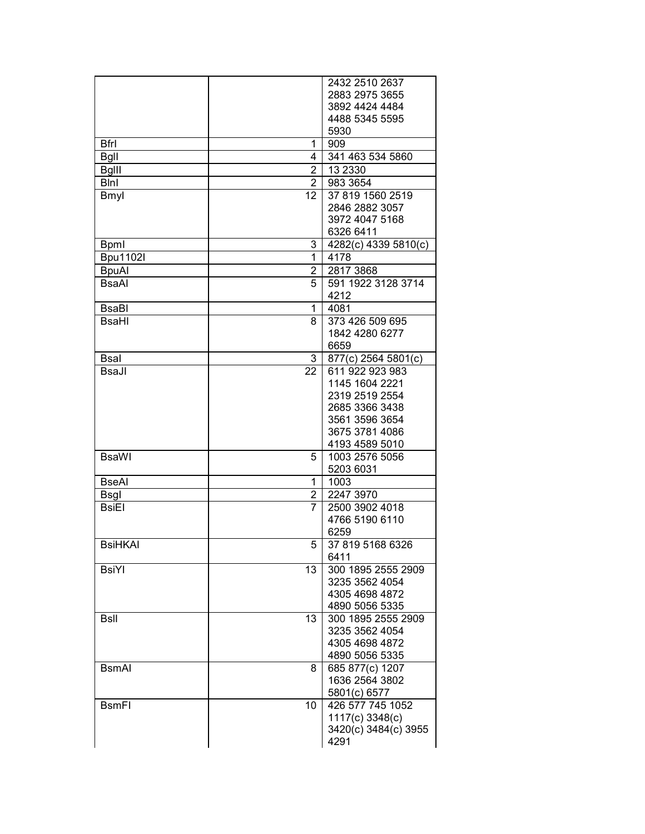|                 |                | 2432 2510 2637       |
|-----------------|----------------|----------------------|
|                 |                | 2883 2975 3655       |
|                 |                | 3892 4424 4484       |
|                 |                | 4488 5345 5595       |
|                 |                | 5930                 |
| <b>Bfrl</b>     | 1              | 909                  |
| <b>Bgll</b>     | 4              | 341 463 534 5860     |
| <b>Bglll</b>    | $\overline{2}$ | 13 2330              |
| <b>B</b> lnl    | $\overline{2}$ | 983 3654             |
| Bmyl            | 12             | 37 819 1560 2519     |
|                 |                | 2846 2882 3057       |
|                 |                | 3972 4047 5168       |
|                 |                | 6326 6411            |
| <b>Bpml</b>     | 3              | 4282(c) 4339 5810(c) |
| <b>Bpu1102l</b> | 1              | 4178                 |
| <b>BpuAl</b>    | $\overline{c}$ | 2817 3868            |
| <b>BsaAl</b>    | 5              | 591 1922 3128 3714   |
|                 |                | 4212                 |
| BsaBl           | 1              | 4081                 |
| <b>BsaHI</b>    | 8              | 373 426 509 695      |
|                 |                | 1842 4280 6277       |
|                 |                | 6659                 |
| <b>Bsal</b>     | 3              | 877(c) 2564 5801(c)  |
| BsaJl           | 22             | 611 922 923 983      |
|                 |                | 1145 1604 2221       |
|                 |                | 2319 2519 2554       |
|                 |                | 2685 3366 3438       |
|                 |                | 3561 3596 3654       |
|                 |                | 3675 3781 4086       |
|                 |                | 4193 4589 5010       |
| <b>BsaWI</b>    | 5              | 1003 2576 5056       |
|                 |                | 5203 6031            |
| <b>BseAI</b>    | 1              | 1003                 |
| <b>Bsgl</b>     | 2              | 2247 3970            |
| <b>BsiEl</b>    | 7              | 2500 3902 4018       |
|                 |                | 4766 5190 6110       |
|                 |                | 6259                 |
| <b>BsiHKAI</b>  | 5.             | 37 819 5168 6326     |
|                 |                | 6411                 |
| <b>BsiYI</b>    | 13             | 300 1895 2555 2909   |
|                 |                | 3235 3562 4054       |
|                 |                | 4305 4698 4872       |
|                 |                | 4890 5056 5335       |
| <b>BsII</b>     | 13             | 300 1895 2555 2909   |
|                 |                | 3235 3562 4054       |
|                 |                | 4305 4698 4872       |
|                 |                | 4890 5056 5335       |
| <b>BsmAl</b>    | 8              | 685 877(c) 1207      |
|                 |                | 1636 2564 3802       |
|                 |                | 5801(c) 6577         |
| <b>BsmFI</b>    | 10             | 426 577 745 1052     |
|                 |                | 1117(c) 3348(c)      |
|                 |                | 3420(c) 3484(c) 3955 |
|                 |                | 4291                 |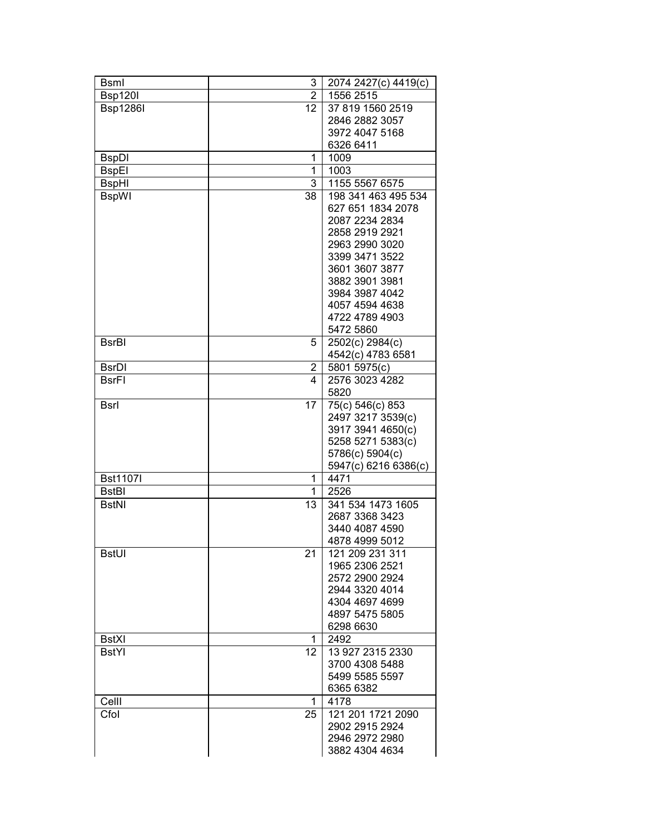| <b>B</b> sml    | 3               | 2074 2427(c) 4419(c) |
|-----------------|-----------------|----------------------|
| <b>Bsp120l</b>  | $\overline{2}$  | 1556 2515            |
| <b>Bsp1286I</b> | 12 <sub>2</sub> | 37 819 1560 2519     |
|                 |                 | 2846 2882 3057       |
|                 |                 | 3972 4047 5168       |
|                 |                 | 6326 6411            |
|                 | 1               | 1009                 |
| <b>BspDI</b>    |                 |                      |
| <b>BspEI</b>    | 1               | 1003                 |
| <b>BspHI</b>    | 3               | 1155 5567 6575       |
| <b>BspWI</b>    | 38              | 198 341 463 495 534  |
|                 |                 | 627 651 1834 2078    |
|                 |                 | 2087 2234 2834       |
|                 |                 | 2858 2919 2921       |
|                 |                 | 2963 2990 3020       |
|                 |                 | 3399 3471 3522       |
|                 |                 | 3601 3607 3877       |
|                 |                 | 3882 3901 3981       |
|                 |                 | 3984 3987 4042       |
|                 |                 | 4057 4594 4638       |
|                 |                 | 4722 4789 4903       |
|                 |                 | 5472 5860            |
| <b>BsrBI</b>    | 5               | 2502(c) 2984(c)      |
|                 |                 | 4542(c) 4783 6581    |
| <b>BsrDI</b>    | 2               | 5801 5975(c)         |
| <b>BsrFI</b>    | 4               | 2576 3023 4282       |
|                 |                 | 5820                 |
|                 |                 |                      |
| <b>Bsrl</b>     | 17              | 75(c) 546(c) 853     |
|                 |                 | 2497 3217 3539(c)    |
|                 |                 | 3917 3941 4650(c)    |
|                 |                 | 5258 5271 5383(c)    |
|                 |                 | 5786(c) 5904(c)      |
|                 |                 | 5947(c) 6216 6386(c) |
| <b>Bst1107I</b> | 1               | 4471                 |
| <b>BstBI</b>    | 1               | 2526                 |
| <b>BstNI</b>    | 13              | 341 534 1473 1605    |
|                 |                 | 2687 3368 3423       |
|                 |                 | 3440 4087 4590       |
|                 |                 | 4878 4999 5012       |
| <b>BstUI</b>    | 21              | 121 209 231 311      |
|                 |                 | 1965 2306 2521       |
|                 |                 | 2572 2900 2924       |
|                 |                 | 2944 3320 4014       |
|                 |                 | 4304 4697 4699       |
|                 |                 | 4897 5475 5805       |
|                 |                 | 6298 6630            |
| <b>BstXI</b>    | 1               | 2492                 |
| <b>BstYl</b>    | 12 <sup>2</sup> | 13 927 2315 2330     |
|                 |                 | 3700 4308 5488       |
|                 |                 | 5499 5585 5597       |
|                 |                 |                      |
|                 |                 | 6365 6382            |
| Celll           | 1               | 4178                 |
| Cfol            | 25              | 121 201 1721 2090    |
|                 |                 | 2902 2915 2924       |
|                 |                 | 2946 2972 2980       |
|                 |                 | 3882 4304 4634       |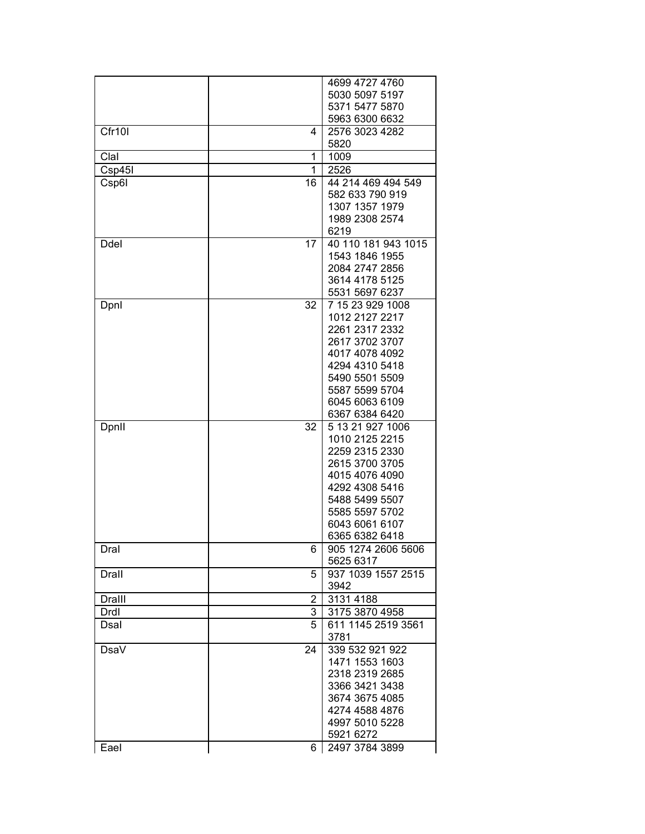|        |    | 4699 4727 4760      |
|--------|----|---------------------|
|        |    | 5030 5097 5197      |
|        |    | 5371 5477 5870      |
|        |    | 5963 6300 6632      |
| Cfr10I | 4  | 2576 3023 4282      |
|        |    | 5820                |
| Clal   | 1  | 1009                |
| Csp45I | 1  | 2526                |
|        | 16 | 44 214 469 494 549  |
| Csp6I  |    | 582 633 790 919     |
|        |    |                     |
|        |    | 1307 1357 1979      |
|        |    | 1989 2308 2574      |
|        |    | 6219                |
| Ddel   | 17 | 40 110 181 943 1015 |
|        |    | 1543 1846 1955      |
|        |    | 2084 2747 2856      |
|        |    | 3614 4178 5125      |
|        |    | 5531 5697 6237      |
| Dpnl   | 32 | 7 15 23 929 1008    |
|        |    | 1012 2127 2217      |
|        |    | 2261 2317 2332      |
|        |    | 2617 3702 3707      |
|        |    | 4017 4078 4092      |
|        |    | 4294 4310 5418      |
|        |    | 5490 5501 5509      |
|        |    | 5587 5599 5704      |
|        |    | 6045 6063 6109      |
|        |    | 6367 6384 6420      |
| Dpnll  | 32 | 5 13 21 927 1006    |
|        |    | 1010 2125 2215      |
|        |    | 2259 2315 2330      |
|        |    | 2615 3700 3705      |
|        |    | 4015 4076 4090      |
|        |    | 4292 4308 5416      |
|        |    | 5488 5499 5507      |
|        |    | 5585 5597 5702      |
|        |    | 6043 6061 6107      |
|        |    | 6365 6382 6418      |
| Dral   | 6. | 905 1274 2606 5606  |
|        |    | 5625 6317           |
| Drall  | 5  | 937 1039 1557 2515  |
|        |    | 3942                |
| Dralll | 2  | 3131 4188           |
|        |    |                     |
| Drdl   | 3  | 3175 3870 4958      |
| Dsal   | 5  | 611 1145 2519 3561  |
|        |    | 3781                |
| DsaV   | 24 | 339 532 921 922     |
|        |    | 1471 1553 1603      |
|        |    | 2318 2319 2685      |
|        |    | 3366 3421 3438      |
|        |    | 3674 3675 4085      |
|        |    | 4274 4588 4876      |
|        |    | 4997 5010 5228      |
|        |    | 5921 6272           |
| Eael   | 6  | 2497 3784 3899      |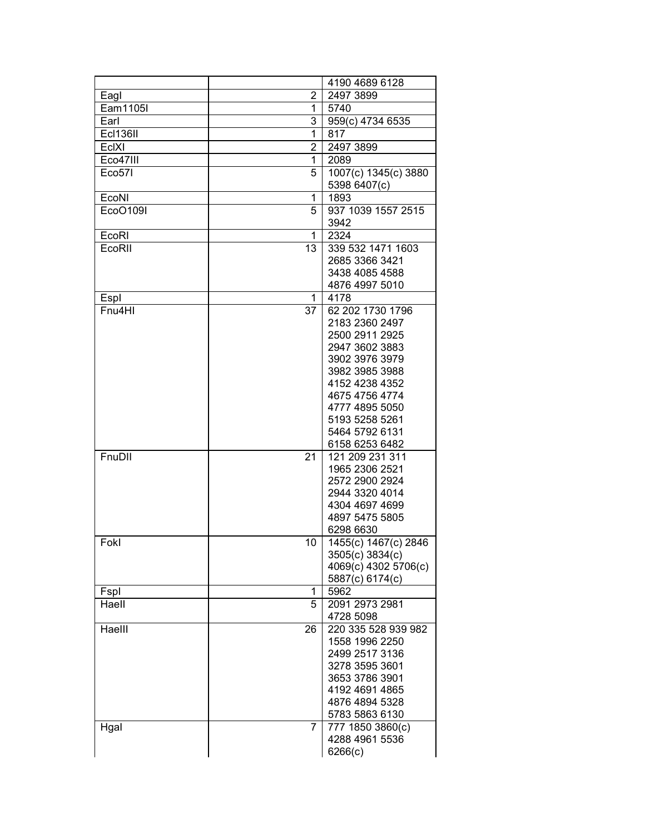|          |     | 4190 4689 6128       |
|----------|-----|----------------------|
| Eagl     | 2   | 2497 3899            |
| Eam1105I | 1   | 5740                 |
| Earl     | 3   | 959(c) 4734 6535     |
| Ecl136II | 1   | 817                  |
| EclXI    | 2   | 2497 3899            |
| Eco47III | 1   | 2089                 |
| Eco57I   | 5   | 1007(c) 1345(c) 3880 |
|          |     | 5398 6407(c)         |
| EcoNI    | 1   | 1893                 |
| EcoO109I | 5   | 937 1039 1557 2515   |
|          |     | 3942                 |
| EcoRI    | 1   | 2324                 |
| EcoRII   | 13  | 339 532 1471 1603    |
|          |     | 2685 3366 3421       |
|          |     | 3438 4085 4588       |
|          |     | 4876 4997 5010       |
| Espl     | 1   | 4178                 |
| Fnu4HI   | 37  | 62 202 1730 1796     |
|          |     | 2183 2360 2497       |
|          |     | 2500 2911 2925       |
|          |     | 2947 3602 3883       |
|          |     | 3902 3976 3979       |
|          |     | 3982 3985 3988       |
|          |     | 4152 4238 4352       |
|          |     | 4675 4756 4774       |
|          |     | 4777 4895 5050       |
|          |     | 5193 5258 5261       |
|          |     | 5464 5792 6131       |
|          |     | 6158 6253 6482       |
| FnuDII   | 21  | 121 209 231 311      |
|          |     | 1965 2306 2521       |
|          |     | 2572 2900 2924       |
|          |     | 2944 3320 4014       |
|          |     | 4304 4697 4699       |
|          |     | 4897 5475 5805       |
|          |     | 6298 6630            |
| Fokl     | 10. | 1455(c) 1467(c) 2846 |
|          |     | 3505(c) 3834(c)      |
|          |     | 4069(c) 4302 5706(c) |
|          |     | 5887(c) 6174(c)      |
| Fspl     | 1   | 5962                 |
| Haell    | 5   | 2091 2973 2981       |
|          |     | 4728 5098            |
| Haelll   | 26  | 220 335 528 939 982  |
|          |     | 1558 1996 2250       |
|          |     | 2499 2517 3136       |
|          |     | 3278 3595 3601       |
|          |     | 3653 3786 3901       |
|          |     | 4192 4691 4865       |
|          |     | 4876 4894 5328       |
|          |     | 5783 5863 6130       |
| Hgal     | 7   | 777 1850 3860(c)     |
|          |     | 4288 4961 5536       |
|          |     | 6266(c)              |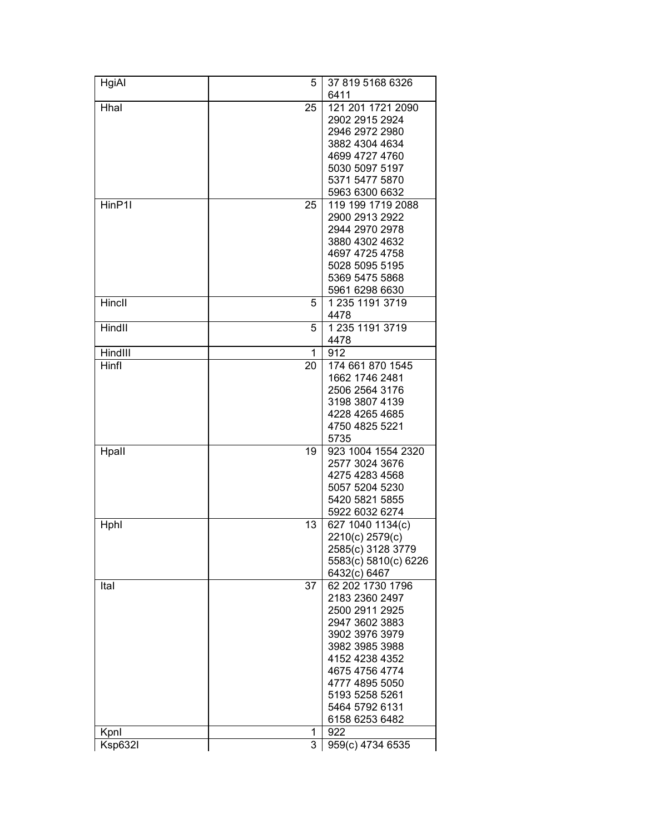| HgiAl   | 5  | 37 819 5168 6326<br>6411 |
|---------|----|--------------------------|
| Hhal    | 25 | 121 201 1721 2090        |
|         |    | 2902 2915 2924           |
|         |    | 2946 2972 2980           |
|         |    | 3882 4304 4634           |
|         |    | 4699 4727 4760           |
|         |    | 5030 5097 5197           |
|         |    | 5371 5477 5870           |
|         |    | 5963 6300 6632           |
| HinP1I  | 25 | 119 199 1719 2088        |
|         |    | 2900 2913 2922           |
|         |    | 2944 2970 2978           |
|         |    | 3880 4302 4632           |
|         |    | 4697 4725 4758           |
|         |    | 5028 5095 5195           |
|         |    | 5369 5475 5868           |
|         |    | 5961 6298 6630           |
| Hincll  | 5  | 1 235 1191 3719          |
|         |    | 4478                     |
| Hindll  | 5  | 1 235 1191 3719          |
|         |    | 4478                     |
| HindIII | 1  | 912                      |
| Hinfl   | 20 | 174 661 870 1545         |
|         |    | 1662 1746 2481           |
|         |    | 2506 2564 3176           |
|         |    | 3198 3807 4139           |
|         |    | 4228 4265 4685           |
|         |    | 4750 4825 5221           |
|         |    | 5735                     |
| Hpall   | 19 | 923 1004 1554 2320       |
|         |    | 2577 3024 3676           |
|         |    | 4275 4283 4568           |
|         |    | 5057 5204 5230           |
|         |    | 5420 5821 5855           |
|         |    | 5922 6032 6274           |
| Hphl    | 13 | 627 1040 1134(c)         |
|         |    | 2210(c) 2579(c)          |
|         |    | 2585(c) 3128 3779        |
|         |    | 5583(c) 5810(c) 6226     |
|         |    | 6432(c) 6467             |
| Ital    | 37 | 62 202 1730 1796         |
|         |    | 2183 2360 2497           |
|         |    | 2500 2911 2925           |
|         |    | 2947 3602 3883           |
|         |    | 3902 3976 3979           |
|         |    | 3982 3985 3988           |
|         |    | 4152 4238 4352           |
|         |    | 4675 4756 4774           |
|         |    | 4777 4895 5050           |
|         |    | 5193 5258 5261           |
|         |    | 5464 5792 6131           |
|         |    | 6158 6253 6482           |
| Kpnl    | 1  | 922                      |
| Ksp632l | 3  | 959(c) 4734 6535         |
|         |    |                          |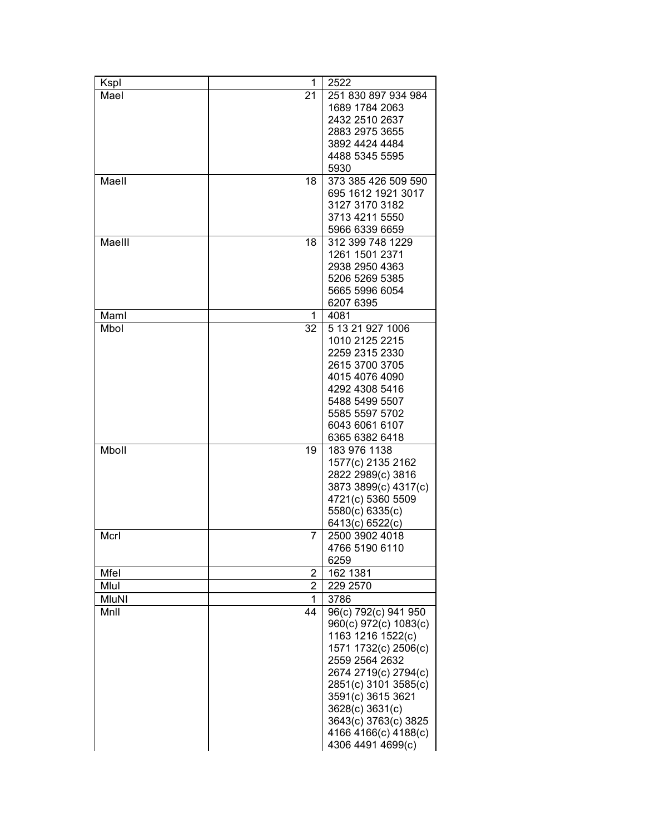| Kspl         | 1              | 2522                                      |
|--------------|----------------|-------------------------------------------|
| Mael         | 21             | 251 830 897 934 984                       |
|              |                | 1689 1784 2063                            |
|              |                | 2432 2510 2637                            |
|              |                | 2883 2975 3655                            |
|              |                | 3892 4424 4484                            |
|              |                | 4488 5345 5595                            |
|              |                | 5930                                      |
| Maell        | 18             | 373 385 426 509 590                       |
|              |                | 695 1612 1921 3017                        |
|              |                | 3127 3170 3182                            |
|              |                | 3713 4211 5550                            |
| Maelll       |                | 5966 6339 6659<br>312 399 748 1229        |
|              | 18             | 1261 1501 2371                            |
|              |                | 2938 2950 4363                            |
|              |                | 5206 5269 5385                            |
|              |                | 5665 5996 6054                            |
|              |                | 6207 6395                                 |
| Maml         | 1              | 4081                                      |
| Mbol         | 32             | 5 13 21 927 1006                          |
|              |                | 1010 2125 2215                            |
|              |                | 2259 2315 2330                            |
|              |                | 2615 3700 3705                            |
|              |                | 4015 4076 4090                            |
|              |                | 4292 4308 5416                            |
|              |                | 5488 5499 5507                            |
|              |                | 5585 5597 5702                            |
|              |                | 6043 6061 6107                            |
|              |                | 6365 6382 6418                            |
| Mboll        | 19             | 183 976 1138                              |
|              |                | 1577(c) 2135 2162                         |
|              |                | 2822 2989(c) 3816                         |
|              |                | 3873 3899(c) 4317(c)<br>4721(c) 5360 5509 |
|              |                | 5580(c) 6335(c)                           |
|              |                | 6413(c) 6522(c)                           |
| Mcrl         | 7              | 2500 3902 4018                            |
|              |                | 4766 5190 6110                            |
|              |                | 6259                                      |
| Mfel         | 2              | 162 1381                                  |
| Mlul         | $\overline{2}$ | 229 2570                                  |
| <b>MluNI</b> | 1              | 3786                                      |
| MnII         | 44             | 96(c) 792(c) 941 950                      |
|              |                | 960(c) 972(c) 1083(c)                     |
|              |                | 1163 1216 1522(c)                         |
|              |                | 1571 1732(c) 2506(c)                      |
|              |                | 2559 2564 2632                            |
|              |                | 2674 2719(c) 2794(c)                      |
|              |                | 2851(c) 3101 3585(c)                      |
|              |                | 3591(c) 3615 3621                         |
|              |                | 3628(c) 3631(c)                           |
|              |                | 3643(c) 3763(c) 3825                      |
|              |                | 4166 4166(c) 4188(c)                      |
|              |                | 4306 4491 4699(c)                         |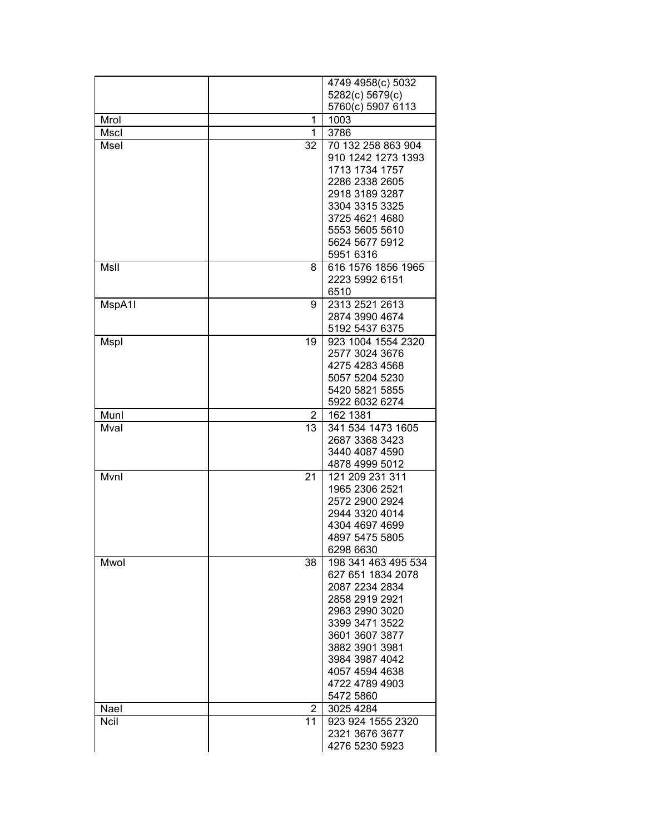|        |                | 4749 4958(c) 5032                        |
|--------|----------------|------------------------------------------|
|        |                | 5282(c) 5679(c)                          |
|        |                | 5760(c) 5907 6113                        |
| Mrol   | 1              | 1003                                     |
| Mscl   | 1              | 3786                                     |
| Msel   | 32             | 70 132 258 863 904                       |
|        |                | 910 1242 1273 1393                       |
|        |                | 1713 1734 1757                           |
|        |                | 2286 2338 2605                           |
|        |                | 2918 3189 3287                           |
|        |                | 3304 3315 3325                           |
|        |                | 3725 4621 4680                           |
|        |                | 5553 5605 5610                           |
|        |                | 5624 5677 5912                           |
|        |                | 5951 6316                                |
| MsII   | 8              | 616 1576 1856 1965                       |
|        |                | 2223 5992 6151                           |
|        |                | 6510                                     |
| MspA1I | 9              | 2313 2521 2613                           |
|        |                | 2874 3990 4674                           |
|        |                | 5192 5437 6375                           |
| Mspl   | 19             | 923 1004 1554 2320                       |
|        |                | 2577 3024 3676                           |
|        |                | 4275 4283 4568                           |
|        |                | 5057 5204 5230                           |
|        |                | 5420 5821 5855                           |
|        |                | 5922 6032 6274                           |
| Munl   | $\overline{2}$ | 162 1381                                 |
| Mval   | 13             | 341 534 1473 1605                        |
|        |                | 2687 3368 3423                           |
|        |                | 3440 4087 4590                           |
|        |                | 4878 4999 5012                           |
| Mvnl   | 21             | 121 209 231 311                          |
|        |                | 1965 2306 2521                           |
|        |                | 2572 2900 2924                           |
|        |                | 2944 3320 4014                           |
|        |                | 4304 4697 4699                           |
|        |                | 4897 5475 5805                           |
|        |                | 6298 6630                                |
| Mwol   | 38             | 198 341 463 495 534<br>627 651 1834 2078 |
|        |                | 2087 2234 2834                           |
|        |                | 2858 2919 2921                           |
|        |                | 2963 2990 3020                           |
|        |                | 3399 3471 3522                           |
|        |                | 3601 3607 3877                           |
|        |                | 3882 3901 3981                           |
|        |                | 3984 3987 4042                           |
|        |                | 4057 4594 4638                           |
|        |                | 4722 4789 4903                           |
|        |                | 5472 5860                                |
| Nael   | 2              | 3025 4284                                |
| Ncil   | 11             | 923 924 1555 2320                        |
|        |                | 2321 3676 3677                           |
|        |                | 4276 5230 5923                           |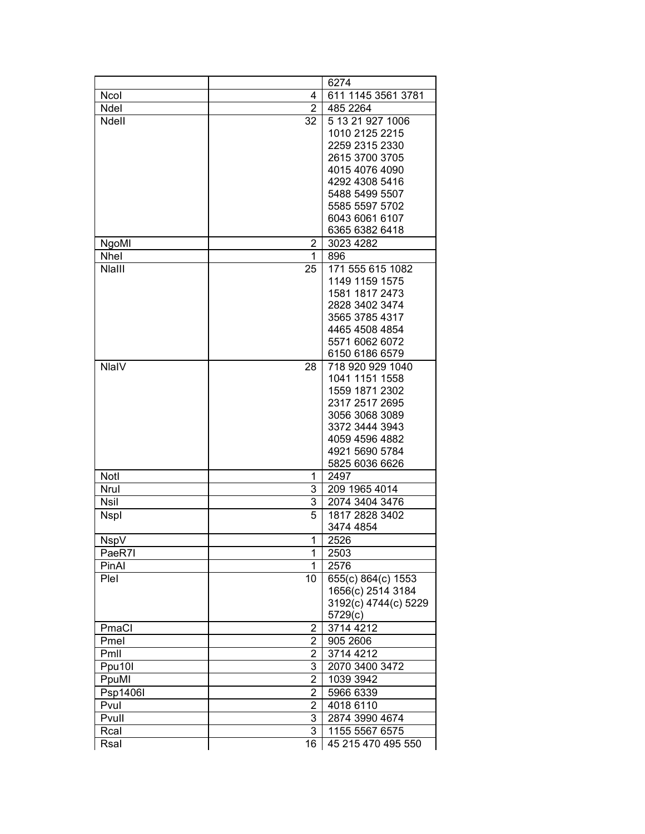|              |                         | 6274                 |
|--------------|-------------------------|----------------------|
| <b>Ncol</b>  | 4                       | 611 1145 3561 3781   |
| Ndel         | $\overline{2}$          | 485 2264             |
| Ndell        | 32                      | 5 13 21 927 1006     |
|              |                         | 1010 2125 2215       |
|              |                         | 2259 2315 2330       |
|              |                         | 2615 3700 3705       |
|              |                         | 4015 4076 4090       |
|              |                         | 4292 4308 5416       |
|              |                         | 5488 5499 5507       |
|              |                         | 5585 5597 5702       |
|              |                         | 6043 6061 6107       |
|              |                         | 6365 6382 6418       |
| NgoMI        | $\overline{2}$          | 3023 4282            |
| Nhel         | 1                       | 896                  |
| Nlalll       | 25                      | 171 555 615 1082     |
|              |                         | 1149 1159 1575       |
|              |                         | 1581 1817 2473       |
|              |                         | 2828 3402 3474       |
|              |                         | 3565 3785 4317       |
|              |                         | 4465 4508 4854       |
|              |                         | 5571 6062 6072       |
|              |                         | 6150 6186 6579       |
| <b>NlaIV</b> | 28                      | 718 920 929 1040     |
|              |                         | 1041 1151 1558       |
|              |                         | 1559 1871 2302       |
|              |                         | 2317 2517 2695       |
|              |                         | 3056 3068 3089       |
|              |                         | 3372 3444 3943       |
|              |                         | 4059 4596 4882       |
|              |                         | 4921 5690 5784       |
|              |                         | 5825 6036 6626       |
| Notl         | 1                       | 2497                 |
| Nrul         | 3                       | 209 1965 4014        |
| <b>Nsil</b>  | 3                       | 2074 3404 3476       |
| <b>Nspl</b>  | 5                       | 1817 2828 3402       |
|              |                         | 3474 4854            |
| <b>NspV</b>  | 1                       | 2526                 |
| PaeR7I       | 1                       | 2503                 |
| PinAl        | 1                       | 2576                 |
| Plel         | 10                      | 655(c) 864(c) 1553   |
|              |                         | 1656(c) 2514 3184    |
|              |                         | 3192(c) 4744(c) 5229 |
|              |                         | 5729(c)              |
| PmaCl        | $\mathbf{2}^{\prime}$   | 3714 4212            |
| Pmel         | $\overline{2}$          | 905 2606             |
| Pmll         | $\overline{\mathbf{c}}$ | 3714 4212            |
| Ppu10I       | 3                       | 2070 3400 3472       |
| PpuMl        | 2                       | 1039 3942            |
| Psp1406I     | 2                       | 5966 6339            |
| Pvul         | 2                       | 4018 6110            |
| Pvull        | 3                       | 2874 3990 4674       |
| Rcal         | 3                       | 1155 5567 6575       |
| Rsal         | 16                      | 45 215 470 495 550   |
|              |                         |                      |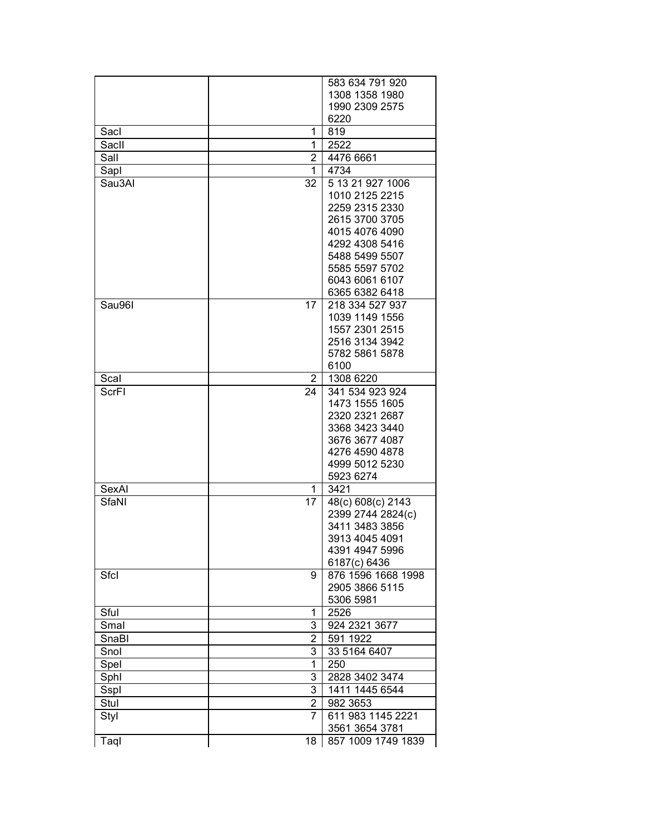|        |                | 583 634 791 920    |
|--------|----------------|--------------------|
|        |                | 1308 1358 1980     |
|        |                | 1990 2309 2575     |
|        |                | 6220               |
| Sacl   | 1              | 819                |
|        |                |                    |
| Sacll  | 1              | 2522               |
| Sall   | 2              | 4476 6661          |
| Sapl   | 1              | 4734               |
| Sau3Al | 32             | 5 13 21 927 1006   |
|        |                | 1010 2125 2215     |
|        |                | 2259 2315 2330     |
|        |                | 2615 3700 3705     |
|        |                | 4015 4076 4090     |
|        |                | 4292 4308 5416     |
|        |                | 5488 5499 5507     |
|        |                | 5585 5597 5702     |
|        |                | 6043 6061 6107     |
|        |                |                    |
|        |                | 6365 6382 6418     |
| Sau96I | 17             | 218 334 527 937    |
|        |                | 1039 1149 1556     |
|        |                | 1557 2301 2515     |
|        |                | 2516 3134 3942     |
|        |                | 5782 5861 5878     |
|        |                | 6100               |
| Scal   | $\mathbf{2}$   | 1308 6220          |
| ScrFI  | 24             | 341 534 923 924    |
|        |                | 1473 1555 1605     |
|        |                | 2320 2321 2687     |
|        |                | 3368 3423 3440     |
|        |                |                    |
|        |                | 3676 3677 4087     |
|        |                | 4276 4590 4878     |
|        |                | 4999 5012 5230     |
|        |                | 5923 6274          |
| SexAl  | 1              | 3421               |
| SfaNI  | 17             | 48(c) 608(c) 2143  |
|        |                | 2399 2744 2824(c)  |
|        |                | 3411 3483 3856     |
|        |                | 3913 4045 4091     |
|        |                | 4391 4947 5996     |
|        |                | 6187(c) 6436       |
|        |                |                    |
| Sfcl   | 9              | 876 1596 1668 1998 |
|        |                | 2905 3866 5115     |
|        |                | 5306 5981          |
| Sful   | 1              | 2526               |
| Smal   | 3              | 924 2321 3677      |
| SnaBl  | 2              | 591 1922           |
| Snol   | 3              | 33 5164 6407       |
| Spel   | 1              | 250                |
|        | 3              | 2828 3402 3474     |
| Sphl   |                |                    |
| Sspl   | 3              | 1411 1445 6544     |
| Stul   | 2              | 982 3653           |
| Styl   | $\overline{7}$ | 611 983 1145 2221  |
|        |                | 3561 3654 3781     |
| Taql   | 18             | 857 1009 1749 1839 |